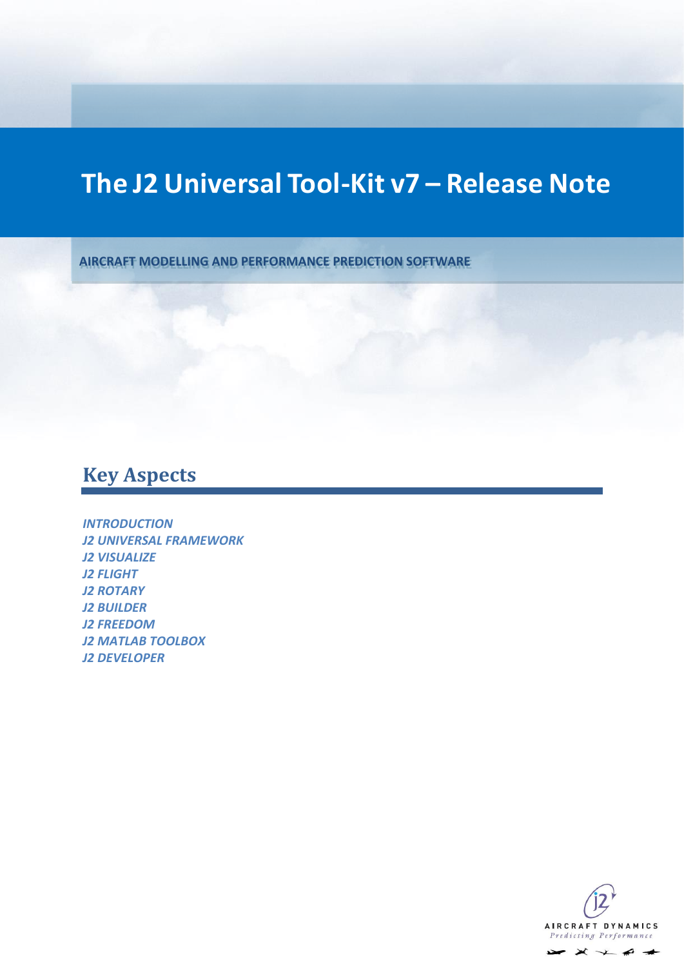# **The J2 Universal Tool-Kit v7 – Release Note**

**AIRCRAFT MODELLING AND PERFORMANCE PREDICTION SOFTWARE**

# **Key Aspects**

*[INTRODUCTION](#page-1-0) [J2 UNIVERSAL FRAMEWORK](#page-2-0) [J2 VISUALIZE](#page-4-0) [J2 FLIGHT](#page-8-0) [J2 ROTARY](#page-10-0) [J2 BUILDER](#page-13-0) [J2 FREEDOM](#page-14-0) [J2 MATLAB TOOLBOX](#page-15-0) [J2 DEVELOPER](#page-17-0)*

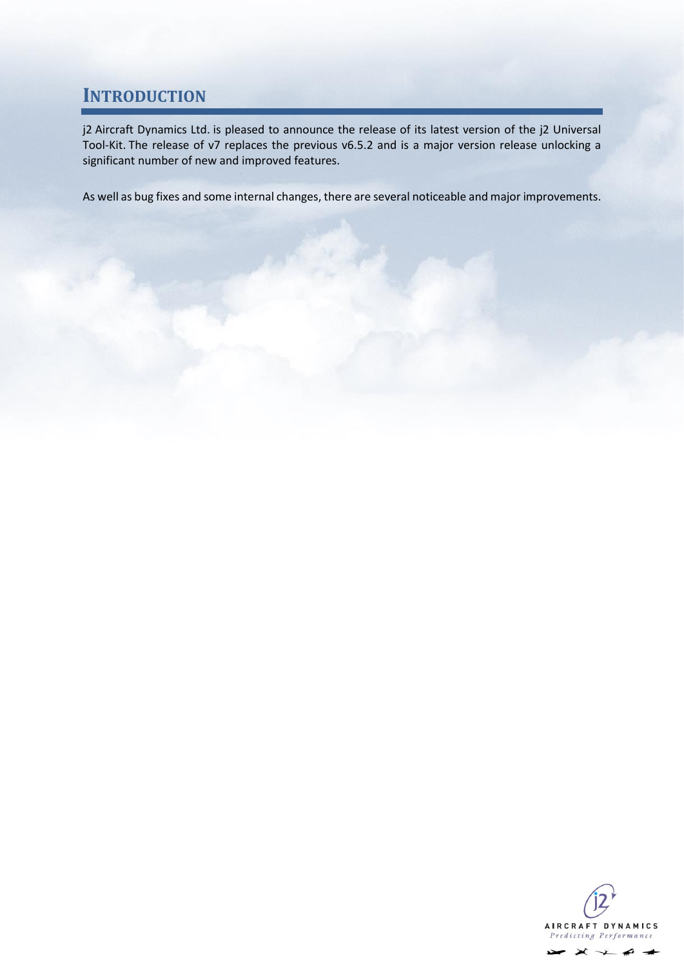### <span id="page-1-0"></span>**INTRODUCTION**

j2 Aircraft Dynamics Ltd. is pleased to announce the release of its latest version of the j2 Universal Tool-Kit. The release of v7 replaces the previous v6.5.2 and is a major version release unlocking a significant number of new and improved features.

As well as bug fixes and some internal changes, there are several noticeable and major improvements.

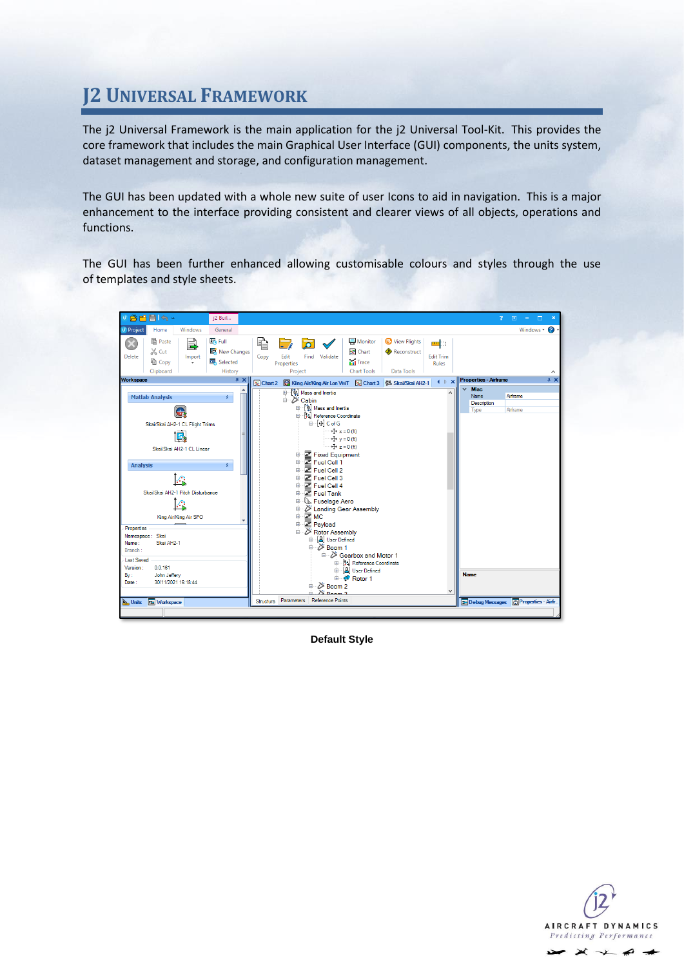# <span id="page-2-0"></span>**J2 UNIVERSAL FRAMEWORK**

The j2 Universal Framework is the main application for the j2 Universal Tool-Kit. This provides the core framework that includes the main Graphical User Interface (GUI) components, the units system, dataset management and storage, and configuration management.

The GUI has been updated with a whole new suite of user Icons to aid in navigation. This is a major enhancement to the interface providing consistent and clearer views of all objects, operations and functions.

The GUI has been further enhanced allowing customisable colours and styles through the use of templates and style sheets.



**Default Style**

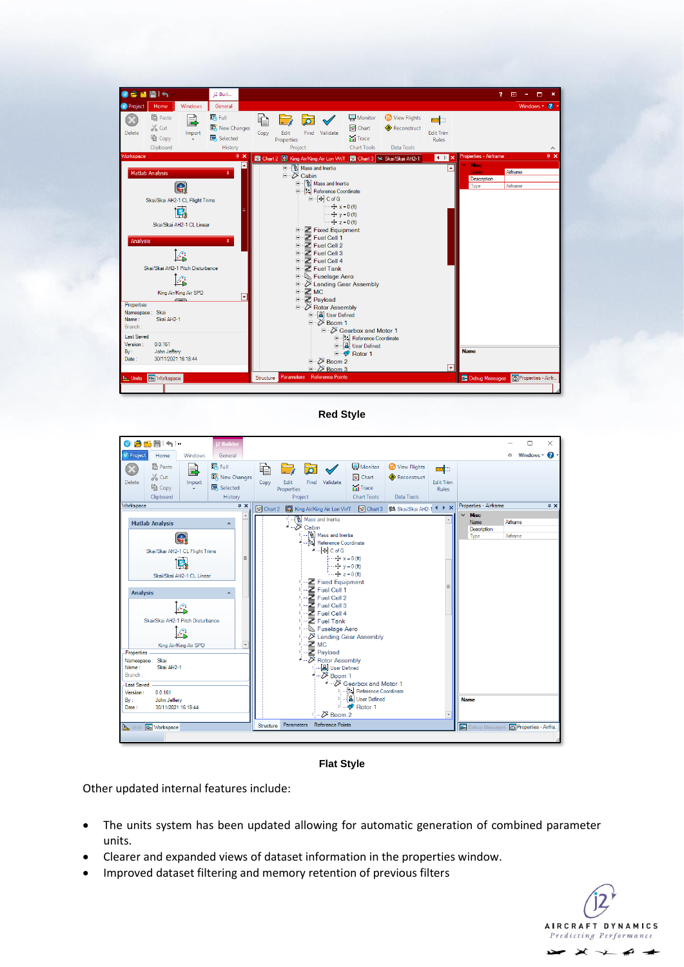

**Red Style**



**Flat Style**

Other updated internal features include:

- The units system has been updated allowing for automatic generation of combined parameter units.
- Clearer and expanded views of dataset information in the properties window.
- Improved dataset filtering and memory retention of previous filters

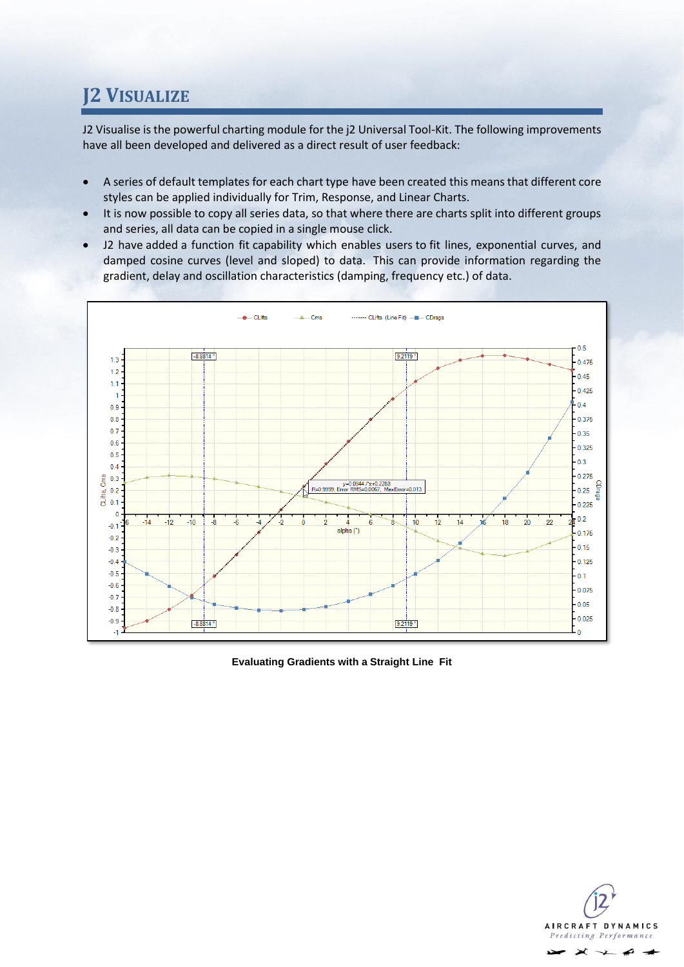# <span id="page-4-0"></span>**J2 VISUALIZE**

J2 Visualise is the powerful charting module for the j2 Universal Tool-Kit. The following improvements have all been developed and delivered as a direct result of user feedback:

- A series of default templates for each chart type have been created this means that different core styles can be applied individually for Trim, Response, and Linear Charts.
- It is now possible to copy all series data, so that where there are charts split into different groups and series, all data can be copied in a single mouse click.
- J2 have added a function fit capability which enables users to fit lines, exponential curves, and damped cosine curves (level and sloped) to data. This can provide information regarding the gradient, delay and oscillation characteristics (damping, frequency etc.) of data.



**Evaluating Gradients with a Straight Line Fit**

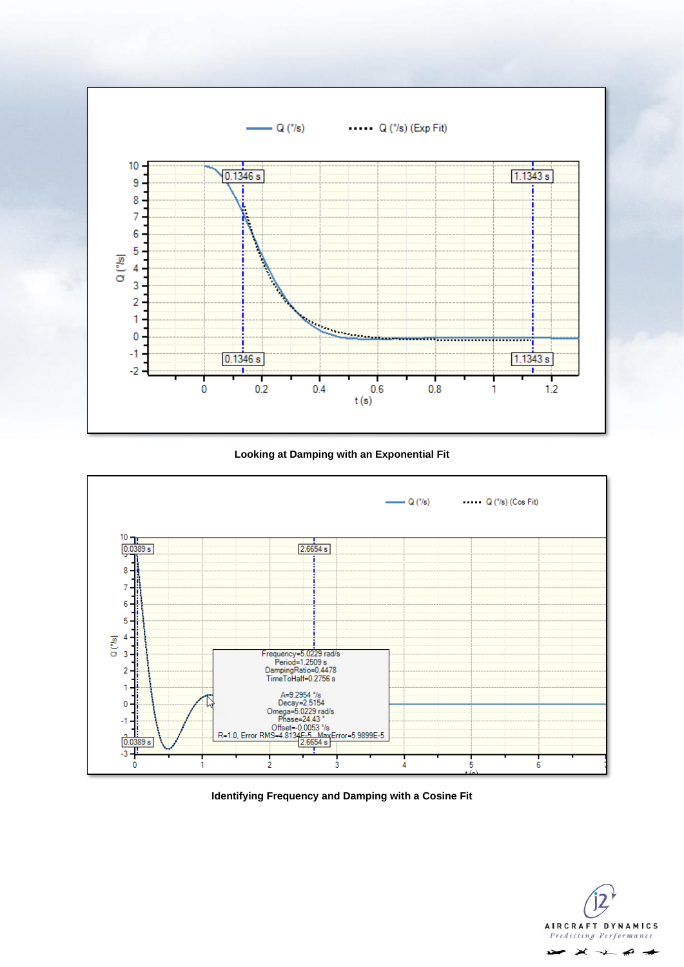

**Looking at Damping with an Exponential Fit**



**Identifying Frequency and Damping with a Cosine Fit**

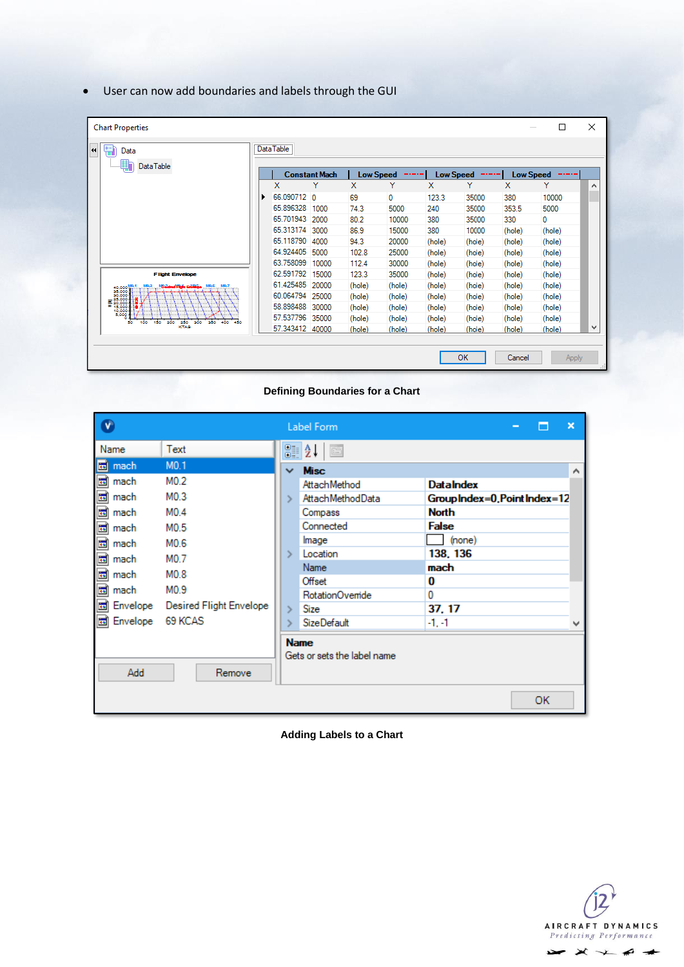• User can now add boundaries and labels through the GUI

| <b>Chart Properties</b>                                                                      |   |                 |                      |                  |        |                  |           |                  | $\Box$ | $\times$     |
|----------------------------------------------------------------------------------------------|---|-----------------|----------------------|------------------|--------|------------------|-----------|------------------|--------|--------------|
| Data<br>44                                                                                   |   | Data Table      |                      |                  |        |                  |           |                  |        |              |
| <b>DataTable</b>                                                                             |   |                 | <b>Constant Mach</b> | <b>Low Speed</b> | -----  | <b>Low Speed</b> | -----     | <b>Low Speed</b> | -----  |              |
|                                                                                              |   | x               | Y                    | x                | Y      | x                | Y         | x                | Y      | ́            |
|                                                                                              | ٠ | 66.090712 0     |                      | 69               | 0      | 123.3            | 35000     | 380              | 10000  |              |
|                                                                                              |   | 65.896328 1000  |                      | 74.3             | 5000   | 240              | 35000     | 353.5            | 5000   |              |
|                                                                                              |   | 65.701943       | 2000                 | 80.2             | 10000  | 380              | 35000     | 330              | 0      |              |
|                                                                                              |   | 65.313174 3000  |                      | 86.9             | 15000  | 380              | 10000     | (hole)           | (hole) |              |
|                                                                                              |   | 65.118790       | 4000                 | 94.3             | 20000  | (hole)           | (hole)    | (hole)           | (hole) |              |
|                                                                                              |   | 64.924405       | 5000                 | 102.8            | 25000  | (hole)           | (hole)    | (hole)           | (hole) |              |
|                                                                                              |   | 63.758099       | 10000                | 112.4            | 30000  | (hole)           | (hole)    | (hole)           | (hole) |              |
| <b>Flight Envelope</b>                                                                       |   | 62.591792 15000 |                      | 123.3            | 35000  | (hole)           | (hole)    | (hole)           | (hole) |              |
| M. S<br>40,000                                                                               |   | 61.425485 20000 |                      | (hole)           | (hole) | (hole)           | (hole)    | (hole)           | (hole) |              |
| $=\n\begin{array}{r}\n35,000 \\ 30,000 \\ \hline\n= 25,000 \\ \hline\n= 15,000\n\end{array}$ |   | 60.064794 25000 |                      | (hole)           | (hole) | (hole)           | (hole)    | (hole)           | (hole) |              |
| 10,000                                                                                       |   | 58.898488 30000 |                      | (hole)           | (hole) | (hole)           | (hole)    | (hole)           | (hole) |              |
| 5,000<br>100<br>150<br>200<br>250<br>200<br>350<br>400<br>50.<br>450                         |   | 57.537796 35000 |                      | (hole)           | (hole) | (hole)           | (hole)    | (hole)           | (hole) |              |
| KTAS                                                                                         |   | 57.343412 40000 |                      | (hole)           | (hole) | (hole)           | (hole)    | (hole)           | (hole) | $\checkmark$ |
|                                                                                              |   |                 |                      |                  |        |                  |           |                  |        |              |
|                                                                                              |   |                 |                      |                  |        |                  | <b>OK</b> | Cancel           |        |              |
|                                                                                              |   |                 |                      |                  |        |                  |           |                  | Apply  |              |

**Defining Boundaries for a Chart**

| v                        |                         |               | Label Form                                                                                                                                                                                                                                                                                                                                                                                                                                                                                                                                                                        | □<br>$\overline{\phantom{0}}$ | × |
|--------------------------|-------------------------|---------------|-----------------------------------------------------------------------------------------------------------------------------------------------------------------------------------------------------------------------------------------------------------------------------------------------------------------------------------------------------------------------------------------------------------------------------------------------------------------------------------------------------------------------------------------------------------------------------------|-------------------------------|---|
| Name                     | Text                    |               | 81 Z L<br>$\boxed{\underline{\mathbb{R}}\underline{\mathbb{R}}}% \qquad \qquad \text{and}\qquad \qquad \underline{\mathbb{R}}\underline{\mathbb{R}}% =\underline{\mathbb{R}}% \begin{array}{l}% \begin{array}{r}% \includegraphics[width=0.47\textwidth]{figs/26c}% \label{fig:26c}% \end{array} \qquad \qquad \text{and}\qquad \underline{\mathbb{R}}\underline{\mathbb{R}}% =\underline{\mathbb{R}}% \begin{array}{l}% \includegraphics[width=0.47\textwidth]{figs/26c}% \label{fig:26c}% \end{array} \qquad \qquad \text{and}\qquad \underline{\mathbb{R}}% =\underline{\math$ |                               |   |
| mach<br>in.              | MO.1                    | $\checkmark$  | <b>Misc</b>                                                                                                                                                                                                                                                                                                                                                                                                                                                                                                                                                                       |                               | ∧ |
| mach<br>io.              | M0.2                    |               | AttachMethod                                                                                                                                                                                                                                                                                                                                                                                                                                                                                                                                                                      | <b>DataIndex</b>              |   |
| mach<br>$\mathbf{u}$     | M <sub>0.3</sub>        |               | AttachMethodData                                                                                                                                                                                                                                                                                                                                                                                                                                                                                                                                                                  | GroupIndex=0, Point Index=12  |   |
| mach<br>圖                | M <sub>0.4</sub>        |               | Compass                                                                                                                                                                                                                                                                                                                                                                                                                                                                                                                                                                           | <b>North</b>                  |   |
| ⊠ mach                   | M0.5                    |               | Connected                                                                                                                                                                                                                                                                                                                                                                                                                                                                                                                                                                         | <b>False</b>                  |   |
| <b>io</b><br>mach        | M0.6                    |               | Image                                                                                                                                                                                                                                                                                                                                                                                                                                                                                                                                                                             | (none)                        |   |
| mach<br>圖                | M0.7                    | $\rightarrow$ | Location                                                                                                                                                                                                                                                                                                                                                                                                                                                                                                                                                                          | 138, 136                      |   |
| mach<br>$\mathbb{E}$     | M0.8                    |               | <b>Name</b>                                                                                                                                                                                                                                                                                                                                                                                                                                                                                                                                                                       | mach                          |   |
| mach<br>its.             | M <sub>0.9</sub>        |               | Offset                                                                                                                                                                                                                                                                                                                                                                                                                                                                                                                                                                            | 0                             |   |
|                          |                         |               | RotationOvemide                                                                                                                                                                                                                                                                                                                                                                                                                                                                                                                                                                   | 0                             |   |
| Envelope<br>io.          | Desired Flight Envelope |               | Size                                                                                                                                                                                                                                                                                                                                                                                                                                                                                                                                                                              | 37.17                         |   |
| Envelope 69 KCAS<br>its. |                         |               | <b>SizeDefault</b>                                                                                                                                                                                                                                                                                                                                                                                                                                                                                                                                                                | $-1, -1$                      |   |
| Add                      | Remove                  |               | <b>Name</b><br>Gets or sets the label name                                                                                                                                                                                                                                                                                                                                                                                                                                                                                                                                        | OK.                           |   |

**Adding Labels to a Chart**

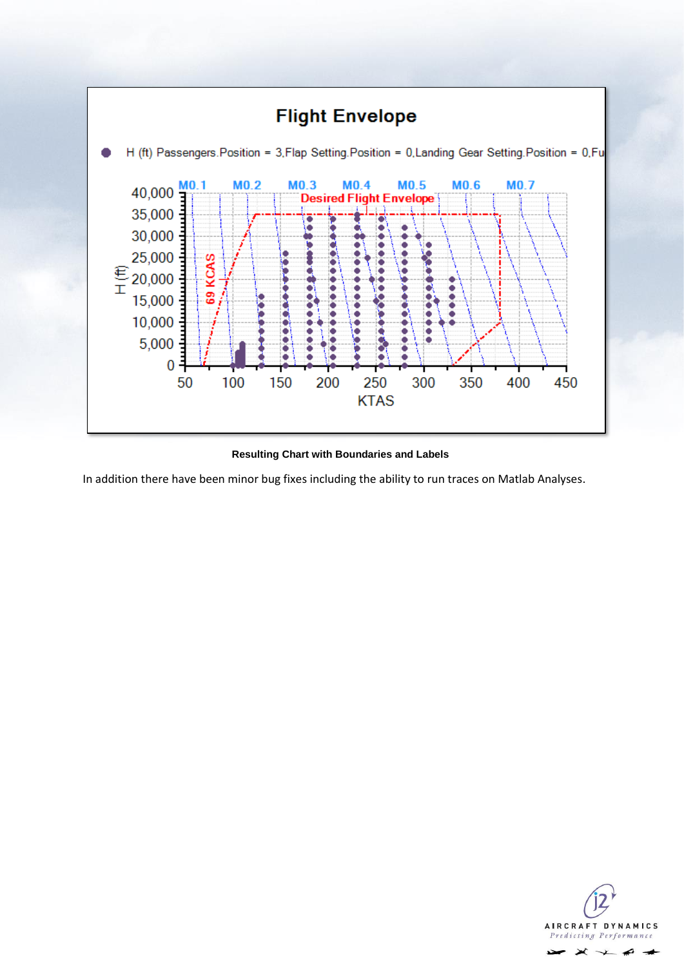

#### **Resulting Chart with Boundaries and Labels**

In addition there have been minor bug fixes including the ability to run traces on Matlab Analyses.

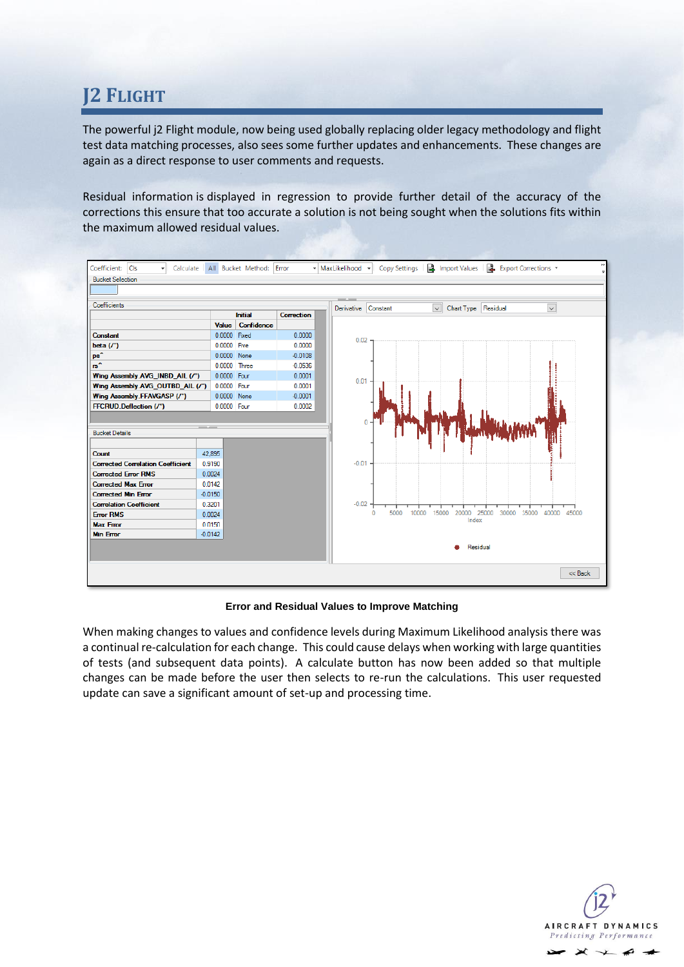# <span id="page-8-0"></span>**J2 FLIGHT**

The powerful j2 Flight module, now being used globally replacing older legacy methodology and flight test data matching processes, also sees some further updates and enhancements. These changes are again as a direct response to user comments and requests.

Residual information is displayed in regression to provide further detail of the accuracy of the corrections this ensure that too accurate a solution is not being sought when the solutions fits within the maximum allowed residual values.



#### **Error and Residual Values to Improve Matching**

When making changes to values and confidence levels during Maximum Likelihood analysis there was a continual re-calculation for each change. This could cause delays when working with large quantities of tests (and subsequent data points). A calculate button has now been added so that multiple changes can be made before the user then selects to re-run the calculations. This user requested update can save a significant amount of set-up and processing time.

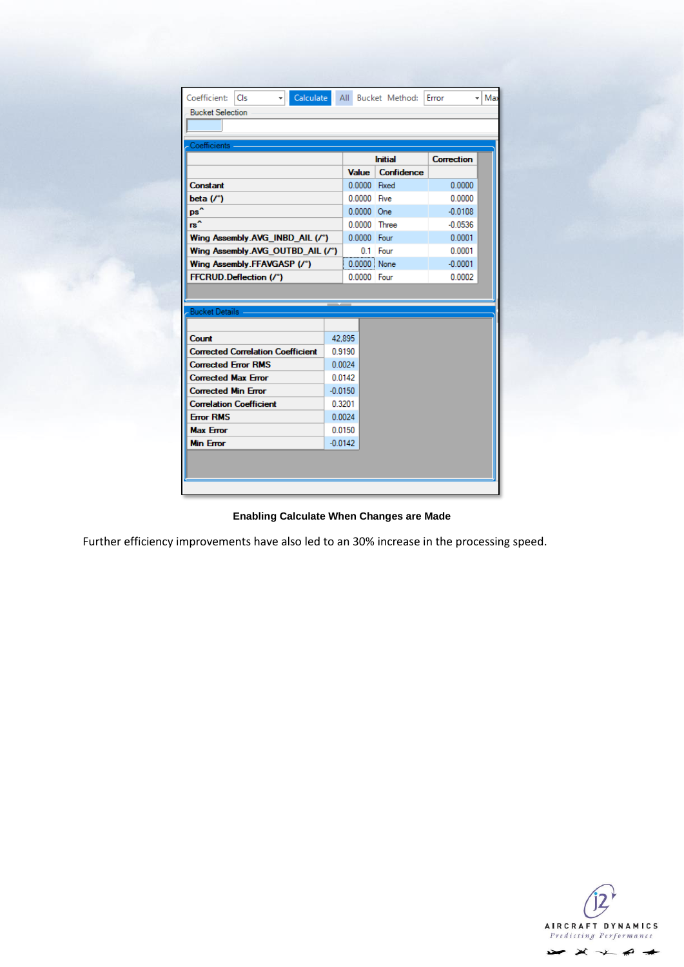| Coefficient:<br>Cls                      |           |              | Calculate All Bucket Method: | Error             | Max<br>÷ |
|------------------------------------------|-----------|--------------|------------------------------|-------------------|----------|
| <b>Bucket Selection</b>                  |           |              |                              |                   |          |
|                                          |           |              |                              |                   |          |
| Coefficients -                           |           |              |                              |                   |          |
|                                          |           |              | <b>Initial</b>               | <b>Correction</b> |          |
|                                          |           | <b>Value</b> | Confidence                   |                   |          |
| Constant                                 |           | 0.0000 Fixed |                              | 0.0000            |          |
| beta $('')$                              |           | 0.0000 Five  |                              | 0.0000            |          |
| ps^                                      |           | $0.0000$ One |                              | $-0.0108$         |          |
| rs^                                      |           |              | 0.0000 Three                 | $-0.0536$         |          |
| Wing Assembly.AVG INBD AIL (/°)          |           | 0.0000 Four  |                              | 0.0001            |          |
| Wing Assembly.AVG_OUTBD_AIL (/*)         |           |              | $0.1$ Four                   | 0.0001            |          |
| Wing Assembly.FFAVGASP (/°)              |           | 0.0000 None  |                              | $-0.0001$         |          |
| FFCRUD.Deflection (/°)                   |           | 0.0000 Four  |                              | 0.0002            |          |
|                                          |           |              |                              |                   |          |
| <b>Bucket Details</b>                    |           |              |                              |                   |          |
|                                          |           |              |                              |                   |          |
| Count                                    |           | 42.895       |                              |                   |          |
| <b>Corrected Correlation Coefficient</b> |           | 0.9190       |                              |                   |          |
| <b>Corrected Error RMS</b>               | 0.0024    |              |                              |                   |          |
| <b>Corrected Max Error</b>               |           | 0.0142       |                              |                   |          |
| <b>Corrected Min Error</b>               | $-0.0150$ |              |                              |                   |          |
| <b>Correlation Coefficient</b>           | 0.3201    |              |                              |                   |          |
| <b>Frror RMS</b>                         | 0.0024    |              |                              |                   |          |
| <b>Max Error</b>                         |           | 0.0150       |                              |                   |          |
| <b>Min Error</b>                         | $-0.0142$ |              |                              |                   |          |
|                                          |           |              |                              |                   |          |
|                                          |           |              |                              |                   |          |
|                                          |           |              |                              |                   |          |

**Enabling Calculate When Changes are Made**

Further efficiency improvements have also led to an 30% increase in the processing speed.

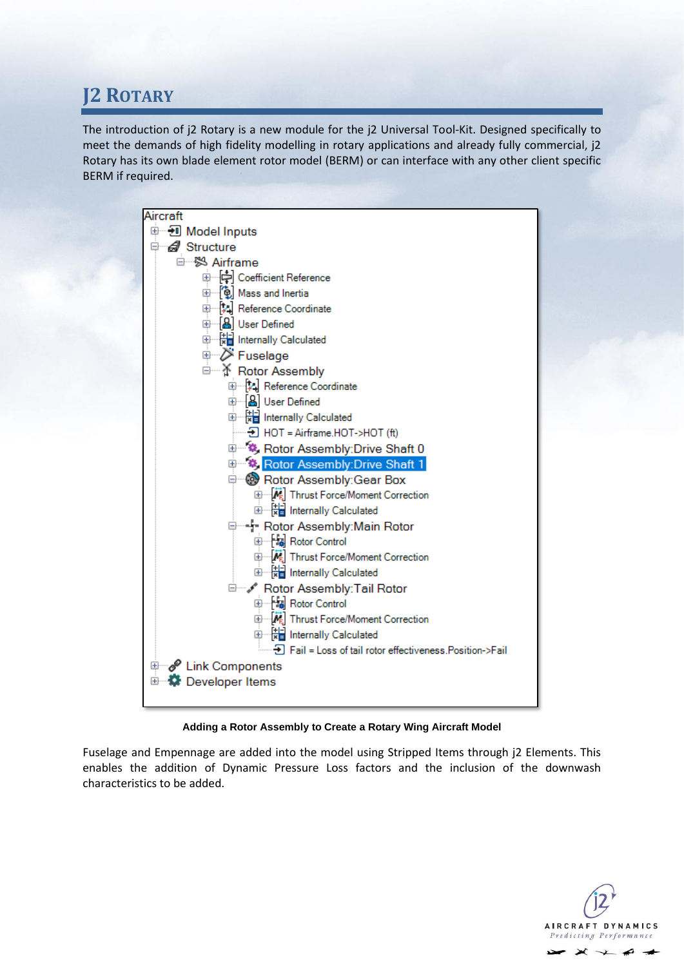### <span id="page-10-0"></span>**J2 ROTARY**

The introduction of j2 Rotary is a new module for the j2 Universal Tool-Kit. Designed specifically to meet the demands of high fidelity modelling in rotary applications and already fully commercial, j2 Rotary has its own blade element rotor model (BERM) or can interface with any other client specific BERM if required.



#### **Adding a Rotor Assembly to Create a Rotary Wing Aircraft Model**

Fuselage and Empennage are added into the model using Stripped Items through j2 Elements. This enables the addition of Dynamic Pressure Loss factors and the inclusion of the downwash characteristics to be added.

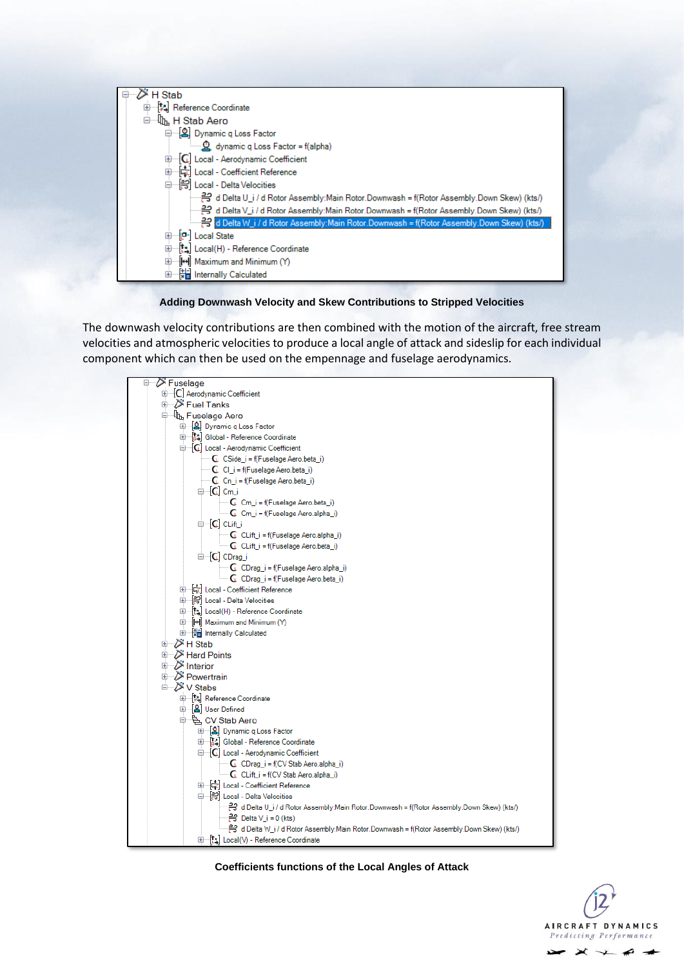

#### **Adding Downwash Velocity and Skew Contributions to Stripped Velocities**

The downwash velocity contributions are then combined with the motion of the aircraft, free stream velocities and atmospheric velocities to produce a local angle of attack and sideslip for each individual component which can then be used on the empennage and fuselage aerodynamics.



**Coefficients functions of the Local Angles of Attack**

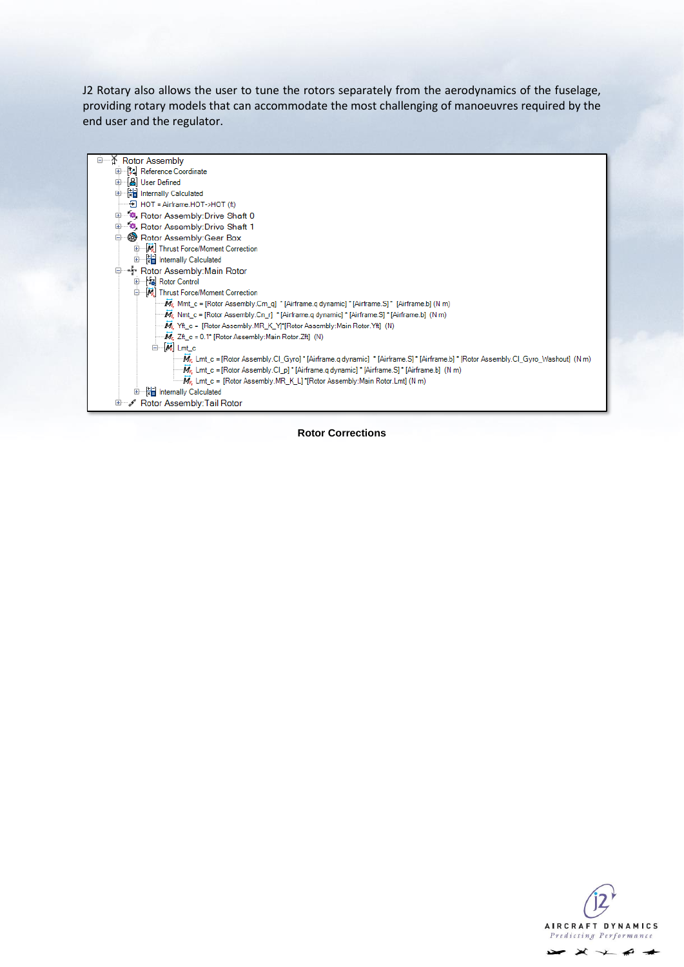J2 Rotary also allows the user to tune the rotors separately from the aerodynamics of the fuselage, providing rotary models that can accommodate the most challenging of manoeuvres required by the end user and the regulator.



**Rotor Corrections**

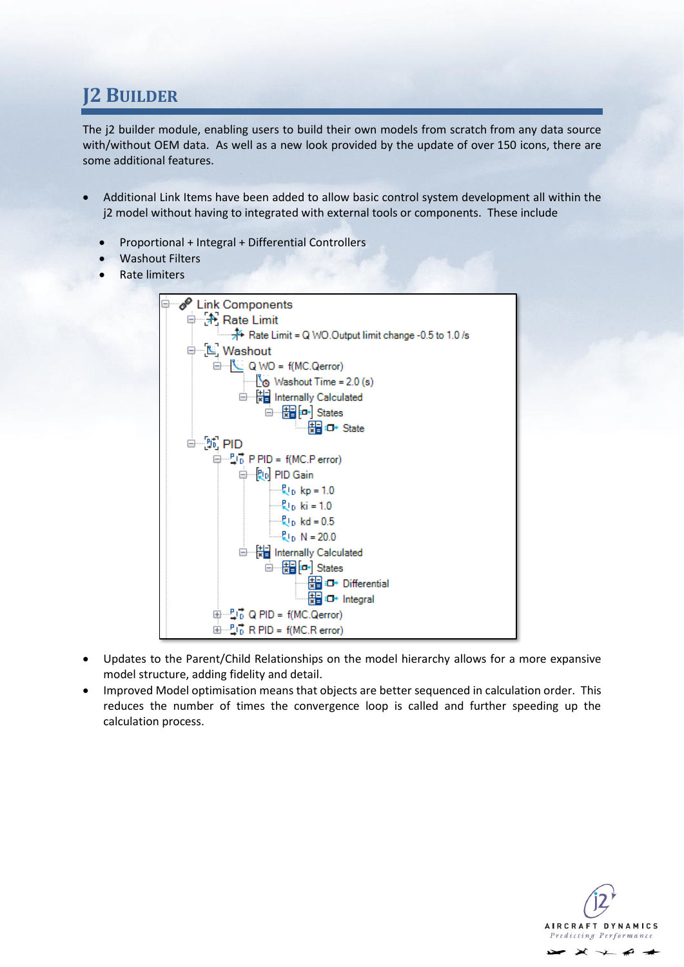### <span id="page-13-0"></span>**J2 BUILDER**

The j2 builder module, enabling users to build their own models from scratch from any data source with/without OEM data. As well as a new look provided by the update of over 150 icons, there are some additional features.

- Additional Link Items have been added to allow basic control system development all within the j2 model without having to integrated with external tools or components. These include
	- Proportional + Integral + Differential Controllers
	- Washout Filters
	- Rate limiters



- Updates to the Parent/Child Relationships on the model hierarchy allows for a more expansive model structure, adding fidelity and detail.
- Improved Model optimisation means that objects are better sequenced in calculation order. This reduces the number of times the convergence loop is called and further speeding up the calculation process.

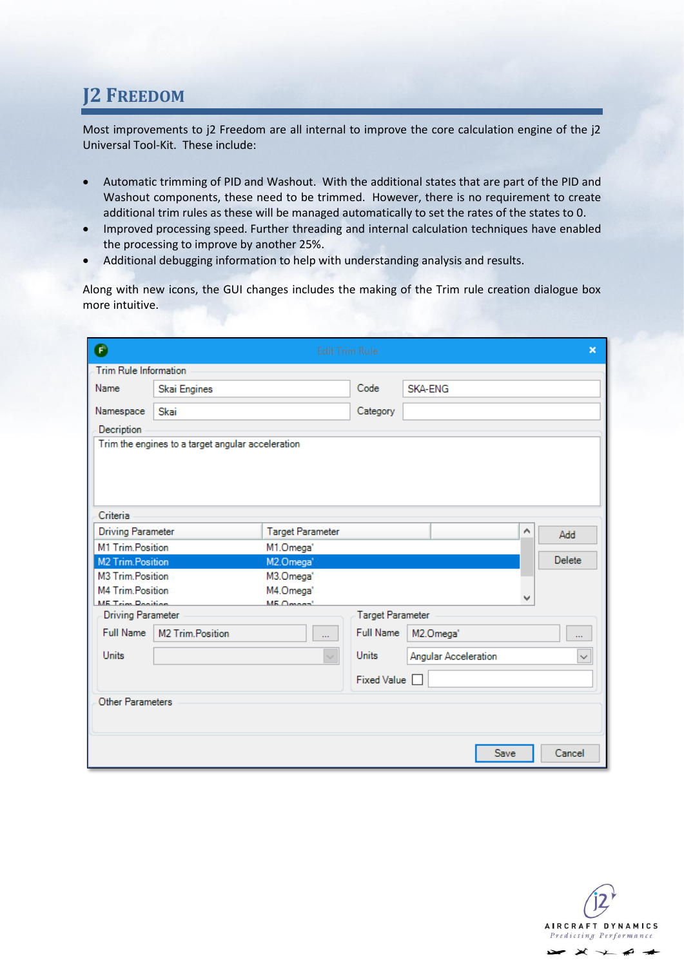### <span id="page-14-0"></span>**J2 FREEDOM**

Most improvements to j2 Freedom are all internal to improve the core calculation engine of the j2 Universal Tool-Kit. These include:

- Automatic trimming of PID and Washout. With the additional states that are part of the PID and Washout components, these need to be trimmed. However, there is no requirement to create additional trim rules as these will be managed automatically to set the rates of the states to 0.
- Improved processing speed. Further threading and internal calculation techniques have enabled the processing to improve by another 25%.
- Additional debugging information to help with understanding analysis and results.

Along with new icons, the GUI changes includes the making of the Trim rule creation dialogue box more intuitive.

| Θ                                           |                                                   | <b>Edit Trim Rule</b>              |                         |                      |   | $\mathbf x$  |  |  |  |
|---------------------------------------------|---------------------------------------------------|------------------------------------|-------------------------|----------------------|---|--------------|--|--|--|
| <b>Trim Rule Information</b>                |                                                   |                                    |                         |                      |   |              |  |  |  |
| Name                                        | Skai Engines                                      |                                    | Code                    | <b>SKA-FNG</b>       |   |              |  |  |  |
| Namespace                                   | Skai                                              |                                    | Category                |                      |   |              |  |  |  |
| Decription                                  |                                                   |                                    |                         |                      |   |              |  |  |  |
|                                             | Trim the engines to a target angular acceleration |                                    |                         |                      |   |              |  |  |  |
| Criteria                                    |                                                   |                                    |                         |                      |   |              |  |  |  |
| <b>Driving Parameter</b>                    |                                                   | <b>Target Parameter</b>            |                         |                      | ۸ | Add          |  |  |  |
| M1 Trim.Position<br>M1.Omega'               |                                                   |                                    |                         |                      |   |              |  |  |  |
| M2 Trim.Position                            |                                                   | M2.Omega'                          |                         |                      |   | Delete       |  |  |  |
| M3 Trim.Position                            |                                                   | M3.Omega'                          |                         |                      |   |              |  |  |  |
| M4 Trim.Position<br><b>ME Trim Ponition</b> |                                                   | M4.Omega'<br>ME Omnas <sup>1</sup> |                         |                      |   |              |  |  |  |
| <b>Driving Parameter</b>                    |                                                   |                                    | <b>Target Parameter</b> |                      |   |              |  |  |  |
| Full Name                                   | M2 Trim.Position                                  |                                    | <b>Full Name</b>        | M2.Omega'            |   |              |  |  |  |
| <b>Units</b>                                |                                                   | $\checkmark$                       | <b>Units</b>            | Angular Acceleration |   | $\checkmark$ |  |  |  |
|                                             |                                                   |                                    | Fixed Value $\Box$      |                      |   |              |  |  |  |
| Other Parameters                            |                                                   |                                    |                         |                      |   |              |  |  |  |
|                                             |                                                   |                                    |                         | Save                 |   | Cancel       |  |  |  |

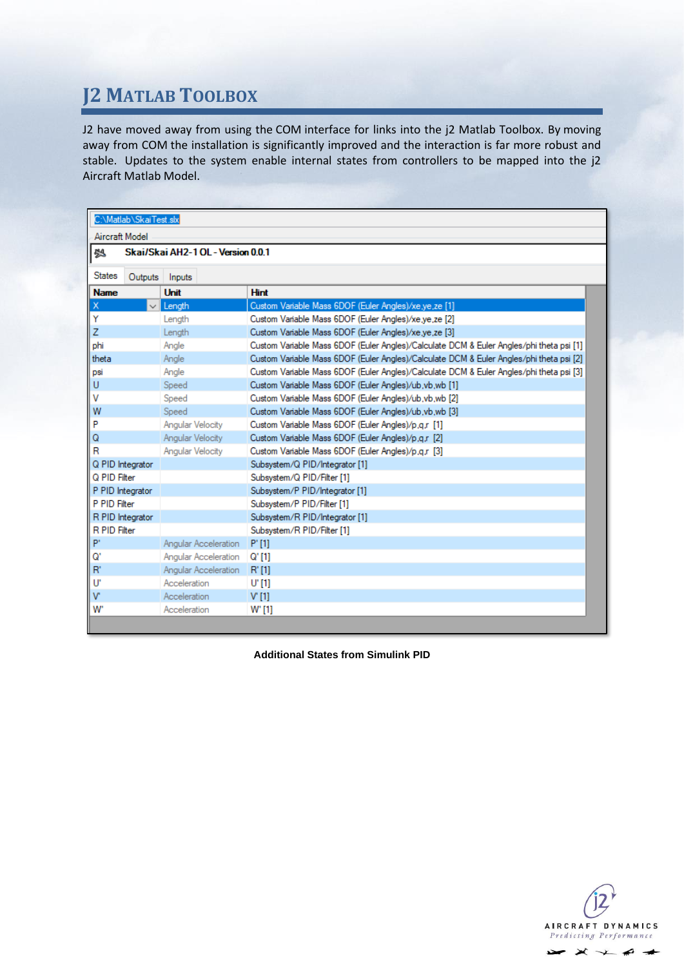# <span id="page-15-0"></span>**J2 MATLAB TOOLBOX**

J2 have moved away from using the COM interface for links into the j2 Matlab Toolbox. By moving away from COM the installation is significantly improved and the interaction is far more robust and stable. Updates to the system enable internal states from controllers to be mapped into the j2 Aircraft Matlab Model.

| C:\Matlab\SkaiTest.slx                  |                            |                                                                                         |  |  |  |  |
|-----------------------------------------|----------------------------|-----------------------------------------------------------------------------------------|--|--|--|--|
| Aircraft Model                          |                            |                                                                                         |  |  |  |  |
| Skai/Skai AH2-1 OL - Version 0.0.1<br>鸮 |                            |                                                                                         |  |  |  |  |
|                                         |                            |                                                                                         |  |  |  |  |
| States<br>Outputs                       | Inputs                     |                                                                                         |  |  |  |  |
| <b>Name</b>                             | Unit                       | <b>Hint</b>                                                                             |  |  |  |  |
| Χ                                       | Length                     | Custom Variable Mass 6DOF (Euler Angles)/xe.ye.ze [1]                                   |  |  |  |  |
| Y                                       | Length                     | Custom Variable Mass 6DOF (Euler Angles)/xe.ye.ze [2]                                   |  |  |  |  |
| Z                                       | Length                     | Custom Variable Mass 6DOF (Euler Angles)/xe.ye.ze [3]                                   |  |  |  |  |
| phi                                     | Angle                      | Custom Variable Mass 6DOF (Euler Angles)/Calculate DCM & Euler Angles/phi theta psi [1] |  |  |  |  |
| theta                                   | Angle                      | Custom Variable Mass 6DOF (Euler Angles)/Calculate DCM & Euler Angles/phi theta psi [2] |  |  |  |  |
| psi                                     | Angle                      | Custom Variable Mass 6DOF (Euler Angles)/Calculate DCM & Euler Angles/phi theta psi [3] |  |  |  |  |
| U                                       | Speed                      | Custom Variable Mass 6DOF (Euler Angles)/ub.vb.wb [1]                                   |  |  |  |  |
| v                                       | Speed                      | Custom Variable Mass 6DOF (Euler Angles)/ub.vb.wb [2]                                   |  |  |  |  |
| W                                       | Speed                      | Custom Variable Mass 6DOF (Euler Angles)/ub.vb.wb [3]                                   |  |  |  |  |
| P                                       | <b>Angular Velocity</b>    | Custom Variable Mass 6DOF (Euler Angles)/p.q.r [1]                                      |  |  |  |  |
| Q                                       | Angular Velocity           | Custom Variable Mass 6DOF (Euler Angles)/p,q,r [2]                                      |  |  |  |  |
| R                                       | Angular Velocity           | Custom Variable Mass 6DOF (Euler Angles)/p.q.r [3]                                      |  |  |  |  |
| Q PID Integrator                        |                            | Subsystem/Q PID/Integrator [1]                                                          |  |  |  |  |
| Q PID Filter                            |                            | Subsystem/Q PID/Filter [1]                                                              |  |  |  |  |
| P PID Integrator                        |                            | Subsystem/P PID/Integrator [1]                                                          |  |  |  |  |
| P PID Filter                            |                            | Subsystem/P PID/Filter [1]                                                              |  |  |  |  |
| R PID Integrator                        |                            | Subsystem/R PID/Integrator [1]                                                          |  |  |  |  |
| R PID Filter                            |                            | Subsystem/R PID/Filter [1]                                                              |  |  |  |  |
| P'                                      | Angular Acceleration P'[1] |                                                                                         |  |  |  |  |
| G.                                      | Angular Acceleration       | Q'[1]                                                                                   |  |  |  |  |
| R'                                      | Angular Acceleration R'[1] |                                                                                         |  |  |  |  |
| U                                       | Acceleration               | U' [1]                                                                                  |  |  |  |  |
| $\mathbf{v}$                            | Acceleration               | V[1]                                                                                    |  |  |  |  |
| w.                                      | Acceleration               | W' [1]                                                                                  |  |  |  |  |

**Additional States from Simulink PID**

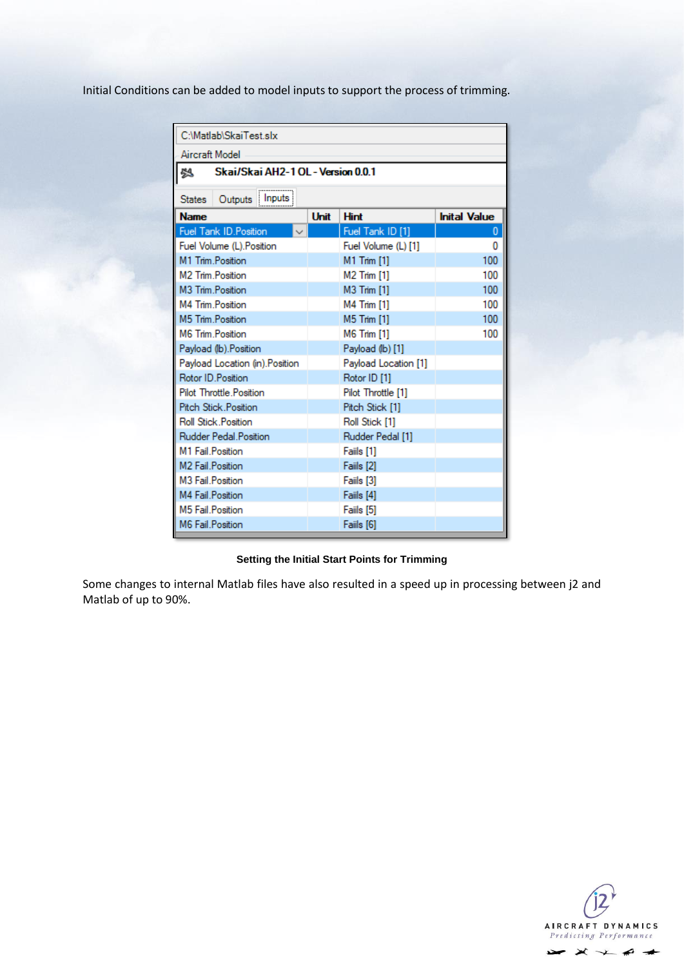Initial Conditions can be added to model inputs to support the process of trimming.

| C:\Matlab\SkaiTest.slx                   |      |                      |                     |  |  |  |
|------------------------------------------|------|----------------------|---------------------|--|--|--|
| Aircraft Model                           |      |                      |                     |  |  |  |
| Skai/Skai AH2-1 OL - Version 0.0.1<br> 株 |      |                      |                     |  |  |  |
| Outputs   Inputs<br><b>States</b>        |      |                      |                     |  |  |  |
| <b>Name</b>                              | Unit | <b>Hint</b>          | <b>Inital Value</b> |  |  |  |
| <b>Fuel Tank ID. Position</b>            |      | Fuel Tank ID [1]     | $\bf{0}$            |  |  |  |
| Fuel Volume (L). Position                |      | Fuel Volume (L) [1]  | 0                   |  |  |  |
| M1 Trim Position                         |      | M1 Trim [1]          | 100                 |  |  |  |
| M <sub>2</sub> Trim Position             |      | <b>M2 Trim [1]</b>   | 100                 |  |  |  |
| M3 Trim Position                         |      | M3 Trim [1]          | 100                 |  |  |  |
| M4 Trim Position                         |      | <b>M4 Trim [1]</b>   | 100                 |  |  |  |
| M5 Trim.Position                         |      | <b>M5 Trim [1]</b>   | 100                 |  |  |  |
| M6 Trim Position                         |      | <b>M6 Trim [1]</b>   | 100                 |  |  |  |
| Payload (lb). Position                   |      | Payload (lb) [1]     |                     |  |  |  |
| Payload Location (in). Position          |      | Payload Location [1] |                     |  |  |  |
| Rotor ID Position                        |      | Rotor ID [1]         |                     |  |  |  |
| <b>Pilot Throttle Position</b>           |      | Pilot Throttle [1]   |                     |  |  |  |
| <b>Pitch Stick Position</b>              |      | Pitch Stick [1]      |                     |  |  |  |
| Roll Stick Position                      |      | Roll Stick [1]       |                     |  |  |  |
| Rudder Pedal Position                    |      | Rudder Pedal [1]     |                     |  |  |  |
| M1 Fail Position                         |      | Faiils [1]           |                     |  |  |  |
| M <sub>2</sub> Fail Position             |      | Faiils [2]           |                     |  |  |  |
| M <sub>3</sub> Fail Position             |      | Faiils [3]           |                     |  |  |  |
| M4 Fail Position                         |      | Faiils [4]           |                     |  |  |  |
| M5 Fail Position                         |      | Faiils [5]           |                     |  |  |  |
| M6 Fail Position                         |      | Faiils [6]           |                     |  |  |  |

#### **Setting the Initial Start Points for Trimming**

Some changes to internal Matlab files have also resulted in a speed up in processing between j2 and Matlab of up to 90%.